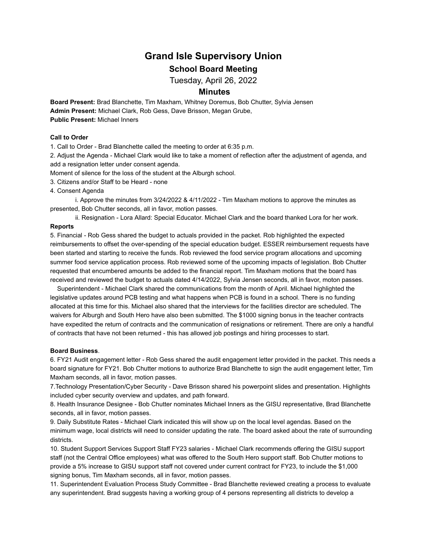# **Grand Isle Supervisory Union School Board Meeting**

Tuesday, April 26, 2022

## **Minutes**

**Board Present:** Brad Blanchette, Tim Maxham, Whitney Doremus, Bob Chutter, Sylvia Jensen **Admin Present:** Michael Clark, Rob Gess, Dave Brisson, Megan Grube, **Public Present:** Michael Inners

#### **Call to Order**

1. Call to Order - Brad Blanchette called the meeting to order at 6:35 p.m.

2. Adjust the Agenda - Michael Clark would like to take a moment of reflection after the adjustment of agenda, and add a resignation letter under consent agenda.

Moment of silence for the loss of the student at the Alburgh school.

3. Citizens and/or Staff to be Heard - none

4. Consent Agenda

i. Approve the minutes from 3/24/2022 & 4/11/2022 - Tim Maxham motions to approve the minutes as presented, Bob Chutter seconds, all in favor, motion passes.

ii. Resignation - Lora Allard: Special Educator. Michael Clark and the board thanked Lora for her work. **Reports**

5. Financial - Rob Gess shared the budget to actuals provided in the packet. Rob highlighted the expected reimbursements to offset the over-spending of the special education budget. ESSER reimbursement requests have been started and starting to receive the funds. Rob reviewed the food service program allocations and upcoming summer food service application process. Rob reviewed some of the upcoming impacts of legislation. Bob Chutter requested that encumbered amounts be added to the financial report. Tim Maxham motions that the board has received and reviewed the budget to actuals dated 4/14/2022, Sylvia Jensen seconds, all in favor, moton passes.

Superintendent - Michael Clark shared the communications from the month of April. Michael highlighted the legislative updates around PCB testing and what happens when PCB is found in a school. There is no funding allocated at this time for this. Michael also shared that the interviews for the facilities director are scheduled. The waivers for Alburgh and South Hero have also been submitted. The \$1000 signing bonus in the teacher contracts have expedited the return of contracts and the communication of resignations or retirement. There are only a handful of contracts that have not been returned - this has allowed job postings and hiring processes to start.

#### **Board Business**.

6. FY21 Audit engagement letter - Rob Gess shared the audit engagement letter provided in the packet. This needs a board signature for FY21. Bob Chutter motions to authorize Brad Blanchette to sign the audit engagement letter, Tim Maxham seconds, all in favor, motion passes.

7.Technology Presentation/Cyber Security - Dave Brisson shared his powerpoint slides and presentation. Highlights included cyber security overview and updates, and path forward.

8. Health Insurance Designee - Bob Chutter nominates Michael Inners as the GISU representative, Brad Blanchette seconds, all in favor, motion passes.

9. Daily Substitute Rates - Michael Clark indicated this will show up on the local level agendas. Based on the minimum wage, local districts will need to consider updating the rate. The board asked about the rate of surrounding districts.

10. Student Support Services Support Staff FY23 salaries - Michael Clark recommends offering the GISU support staff (not the Central Office employees) what was offered to the South Hero support staff. Bob Chutter motions to provide a 5% increase to GISU support staff not covered under current contract for FY23, to include the \$1,000 signing bonus, Tim Maxham seconds, all in favor, motion passes.

11. Superintendent Evaluation Process Study Committee - Brad Blanchette reviewed creating a process to evaluate any superintendent. Brad suggests having a working group of 4 persons representing all districts to develop a